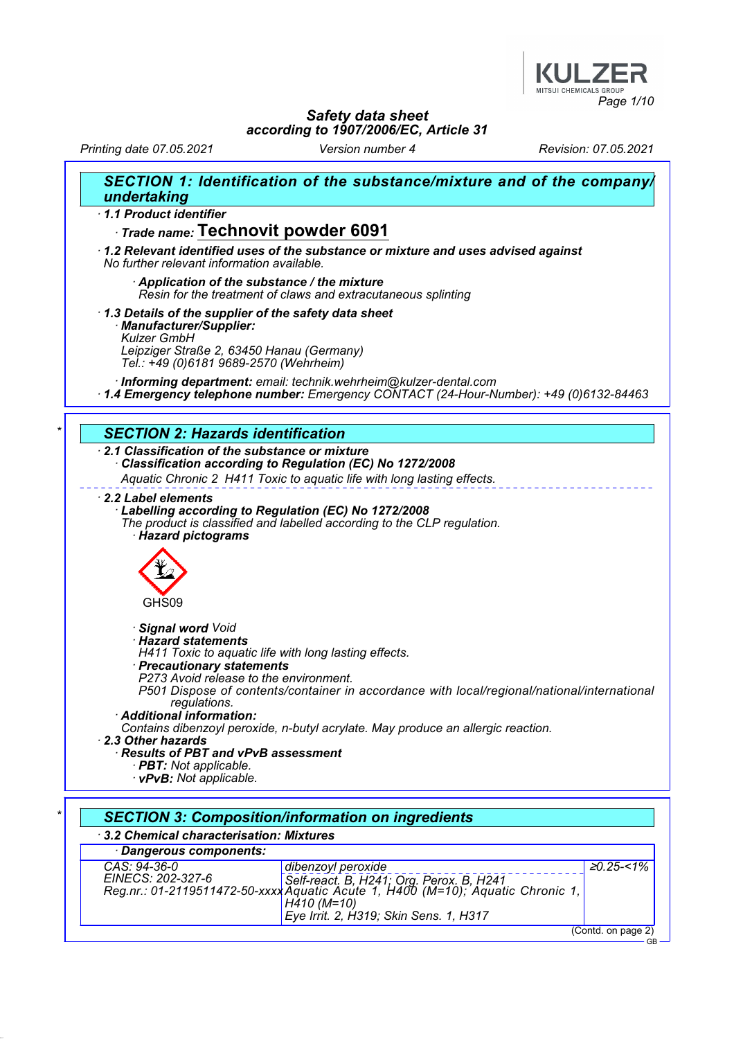

Printing date 07.05.2021 Version number 4 Revision: 07.05.2021

| SECTION 1: Identification of the substance/mixture and of the company/<br>undertaking                                                                                                                    |
|----------------------------------------------------------------------------------------------------------------------------------------------------------------------------------------------------------|
| 1.1 Product identifier                                                                                                                                                                                   |
| Trade name: Technovit powder 6091                                                                                                                                                                        |
| 1.2 Relevant identified uses of the substance or mixture and uses advised against<br>No further relevant information available.                                                                          |
| Application of the substance / the mixture<br>Resin for the treatment of claws and extracutaneous splinting                                                                                              |
| 1.3 Details of the supplier of the safety data sheet<br>· Manufacturer/Supplier:<br><b>Kulzer GmbH</b><br>Leipziger Straße 2, 63450 Hanau (Germany)<br>Tel.: +49 (0)6181 9689-2570 (Wehrheim)            |
| · Informing department: email: technik.wehrheim@kulzer-dental.com<br>1.4 Emergency telephone number: Emergency CONTACT (24-Hour-Number): +49 (0)6132-84463                                               |
| <b>SECTION 2: Hazards identification</b>                                                                                                                                                                 |
| 2.1 Classification of the substance or mixture<br>Classification according to Regulation (EC) No 1272/2008                                                                                               |
| Aquatic Chronic 2 H411 Toxic to aquatic life with long lasting effects.                                                                                                                                  |
| · Hazard pictograms                                                                                                                                                                                      |
| GHS09                                                                                                                                                                                                    |
| · Signal word Void<br>· Hazard statements<br>H411 Toxic to aquatic life with long lasting effects.<br>· Precautionary statements<br>P273 Avoid release to the environment.                               |
| P501 Dispose of contents/container in accordance with local/regional/national/international<br>regulations.<br>· Additional information:                                                                 |
| Contains dibenzoyl peroxide, n-butyl acrylate. May produce an allergic reaction.<br>2.3 Other hazards<br>Results of PBT and vPvB assessment<br>· <b>PBT</b> : Not applicable.<br>· vPvB: Not applicable. |
|                                                                                                                                                                                                          |
| <b>SECTION 3: Composition/information on ingredients</b>                                                                                                                                                 |
| 3.2 Chemical characterisation: Mixtures                                                                                                                                                                  |
| Dangerous components:                                                                                                                                                                                    |
| CAS: 94-36-0<br>$20.25 - 1\%$<br>dibenzoyl peroxide                                                                                                                                                      |

(Contd. on page 2)<br>GB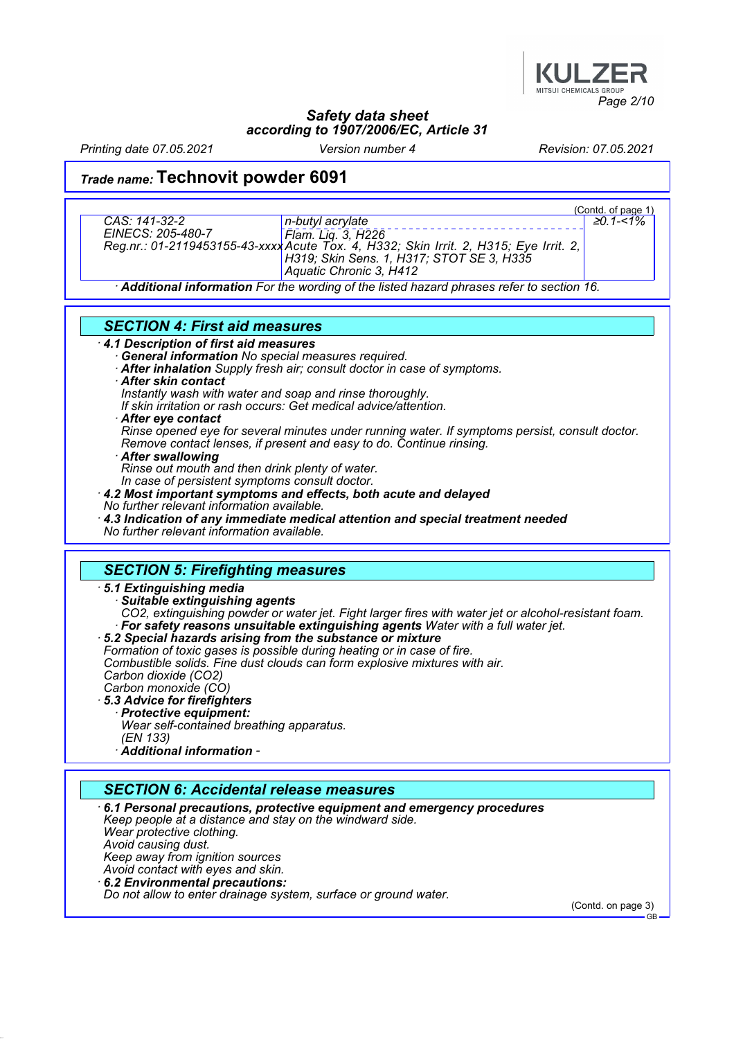

Printing date 07.05.2021 Version number 4 Revision: 07.05.2021

# Trade name: Technovit powder 6091

| CAS: 141-32-2<br>EINECS: 205-480-7    | n-butyl acrylate<br>EINECS: 205-480-7 [Flam. Liq. 3, H226<br>Reg.nr.: 01-2119453155-43-xxxxAcute Tox. 4, H332; Skin Irrit. 2, H315; Eye Irrit. 2,<br>H319; Skin Sens. 1, H317; STOT SE 3, H335<br>Aquatic Chronic 3, H412 | (Contd. of page 1)<br>$\geq 0.1 - 1\%$ |
|---------------------------------------|---------------------------------------------------------------------------------------------------------------------------------------------------------------------------------------------------------------------------|----------------------------------------|
|                                       | Additional information For the wording of the listed hazard phrases refer to section 16.                                                                                                                                  |                                        |
| <b>CECTION A. Eirot aid magazirgs</b> |                                                                                                                                                                                                                           |                                        |

#### SECTION 4: First aid measures

- · 4.1 Description of first aid measures
	- General information No special measures required.
	- After inhalation Supply fresh air; consult doctor in case of symptoms.
	- · After skin contact
	- Instantly wash with water and soap and rinse thoroughly.
	- If skin irritation or rash occurs: Get medical advice/attention.
	- After eve contact
	- Rinse opened eye for several minutes under running water. If symptoms persist, consult doctor. Remove contact lenses, if present and easy to do. Continue rinsing.
	- **After swallowing**
	- Rinse out mouth and then drink plenty of water.
	- In case of persistent symptoms consult doctor.
- · 4.2 Most important symptoms and effects, both acute and delayed
- No further relevant information available.
- · 4.3 Indication of any immediate medical attention and special treatment needed No further relevant information available.

#### SECTION 5: Firefighting measures

#### · 5.1 Extinguishing media

- Suitable extinguishing agents CO2, extinguishing powder or water jet. Fight larger fires with water jet or alcohol-resistant foam. For safety reasons unsuitable extinguishing agents Water with a full water jet.
- · 5.2 Special hazards arising from the substance or mixture
- Formation of toxic gases is possible during heating or in case of fire.

Combustible solids. Fine dust clouds can form explosive mixtures with air.

- Carbon dioxide (CO2)
- Carbon monoxide (CO) · 5.3 Advice for firefighters
	- · Protective equipment:
	- Wear self-contained breathing apparatus. (EN 133)
	- · Additional information -

### SECTION 6: Accidental release measures

· 6.1 Personal precautions, protective equipment and emergency procedures Keep people at a distance and stay on the windward side. Wear protective clothing. Avoid causing dust. Keep away from ignition sources Avoid contact with eyes and skin. · 6.2 Environmental precautions: Do not allow to enter drainage system, surface or ground water.

(Contd. on page 3)

GB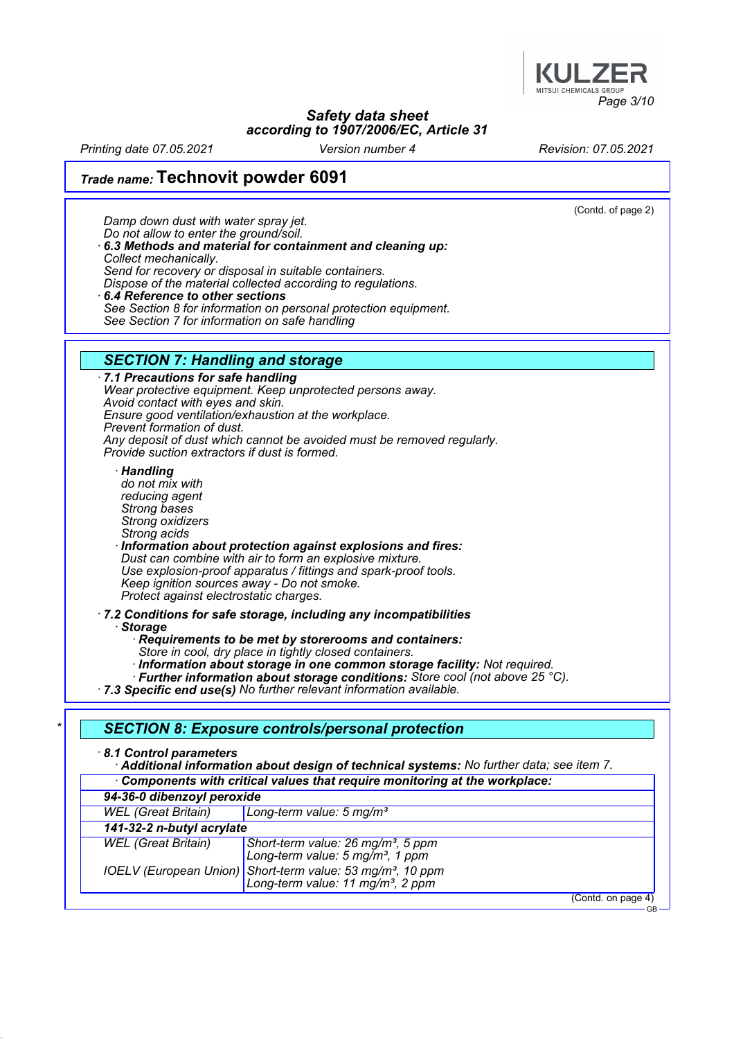

Printing date 07.05.2021 Version number 4 Revision: 07.05.2021

# Trade name: Technovit powder 6091

Damp down dust with water spray jet.

(Contd. of page 2)

GB

Do not allow to enter the ground/soil. · 6.3 Methods and material for containment and cleaning up: Collect mechanically. Send for recovery or disposal in suitable containers. Dispose of the material collected according to regulations. 6.4 Reference to other sections See Section 8 for information on personal protection equipment.

See Section 7 for information on safe handling

#### SECTION 7: Handling and storage

· 7.1 Precautions for safe handling Wear protective equipment. Keep unprotected persons away. Avoid contact with eyes and skin. Ensure good ventilation/exhaustion at the workplace. Prevent formation of dust. Any deposit of dust which cannot be avoided must be removed regularly. Provide suction extractors if dust is formed.

**Handling** 

do not mix with reducing agent Strong bases Strong oxidizers Strong acids · Information about protection against explosions and fires: Dust can combine with air to form an explosive mixture. Use explosion-proof apparatus / fittings and spark-proof tools. Keep ignition sources away - Do not smoke. Protect against electrostatic charges.

· 7.2 Conditions for safe storage, including any incompatibilities **Storage** 

Requirements to be met by storerooms and containers:

Store in cool, dry place in tightly closed containers.

· Information about storage in one common storage facility: Not required.

· Further information about storage conditions: Store cool (not above 25 °C).

· 7.3 Specific end use(s) No further relevant information available.

#### SECTION 8: Exposure controls/personal protection

· 8.1 Control parameters

· Additional information about design of technical systems: No further data; see item 7.

Components with critical values that require monitoring at the workplace: 94-36-0 dibenzoyl peroxide WEL (Great Britain) | Long-term value: 5 mg/m<sup>3</sup> 141-32-2 n-butyl acrylate WEL (Great Britain) Short-term value: 26 mg/m<sup>3</sup>, 5 ppm Long-term value:  $5 \,\mathrm{mg/m^3}$ , 1 ppm IOELV (European Union) Short-term value: 53 mg/m<sup>3</sup>, 10 ppm Long-term value:  $11$  mg/m<sup>3</sup>, 2 ppm (Contd. on page 4)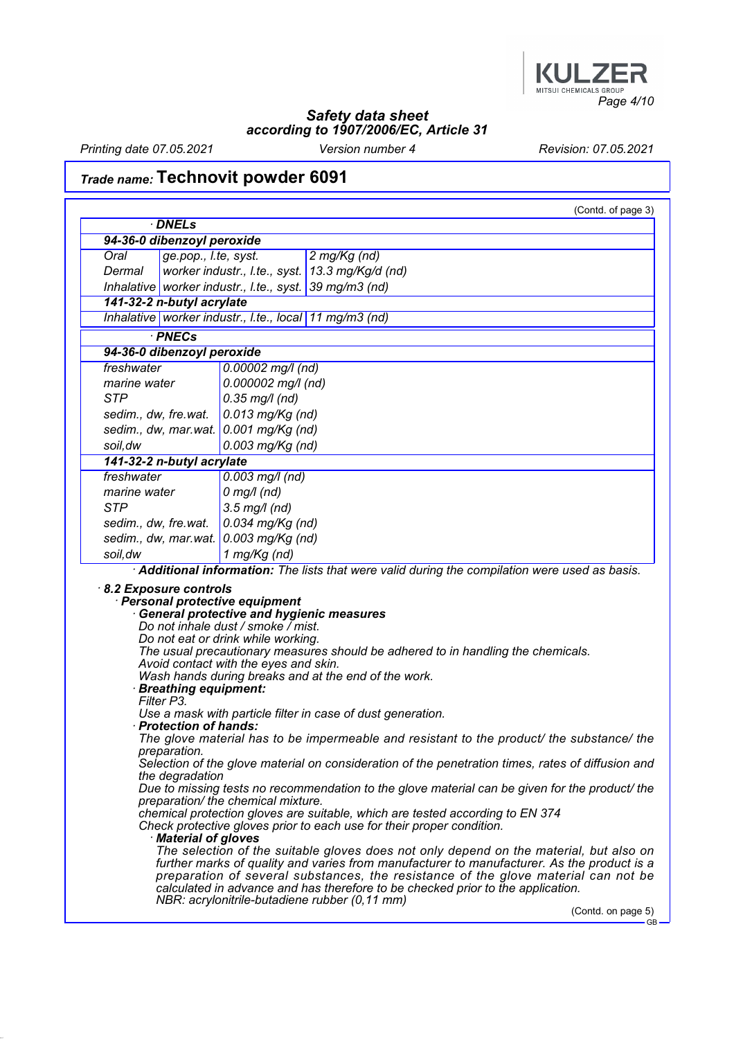

Printing date 07.05.2021 Version number 4 Revision: 07.05.2021

# Trade name: Technovit powder 6091

|                                         | · DNELs                         |                                                                                                                                                                      |                                                                                                                                                                                                                                                                                                                                                                                                                |
|-----------------------------------------|---------------------------------|----------------------------------------------------------------------------------------------------------------------------------------------------------------------|----------------------------------------------------------------------------------------------------------------------------------------------------------------------------------------------------------------------------------------------------------------------------------------------------------------------------------------------------------------------------------------------------------------|
|                                         | 94-36-0 dibenzoyl peroxide      |                                                                                                                                                                      |                                                                                                                                                                                                                                                                                                                                                                                                                |
| Oral                                    | ge.pop., I.te, syst.            |                                                                                                                                                                      | 2 mg/Kg (nd)                                                                                                                                                                                                                                                                                                                                                                                                   |
| Dermal                                  |                                 |                                                                                                                                                                      | worker industr., I.te., syst. 13.3 mg/Kg/d (nd)                                                                                                                                                                                                                                                                                                                                                                |
|                                         |                                 | Inhalative worker industr., I.te., syst. 39 mg/m3 (nd)                                                                                                               |                                                                                                                                                                                                                                                                                                                                                                                                                |
| 141-32-2 n-butyl acrylate               |                                 |                                                                                                                                                                      |                                                                                                                                                                                                                                                                                                                                                                                                                |
|                                         |                                 | Inhalative worker industr., I.te., local 11 mg/m3 (nd)                                                                                                               |                                                                                                                                                                                                                                                                                                                                                                                                                |
|                                         | · PNECs                         |                                                                                                                                                                      |                                                                                                                                                                                                                                                                                                                                                                                                                |
| 94-36-0 dibenzoyl peroxide              |                                 |                                                                                                                                                                      |                                                                                                                                                                                                                                                                                                                                                                                                                |
| freshwater                              |                                 | $0.00002$ mg/l (nd)                                                                                                                                                  |                                                                                                                                                                                                                                                                                                                                                                                                                |
| marine water                            |                                 | 0.000002 mg/l (nd)                                                                                                                                                   |                                                                                                                                                                                                                                                                                                                                                                                                                |
| <b>STP</b>                              |                                 | $0.35$ mg/l (nd)                                                                                                                                                     |                                                                                                                                                                                                                                                                                                                                                                                                                |
|                                         |                                 |                                                                                                                                                                      |                                                                                                                                                                                                                                                                                                                                                                                                                |
| sedim., dw, fre.wat.                    |                                 | $0.013$ mg/Kg (nd)                                                                                                                                                   |                                                                                                                                                                                                                                                                                                                                                                                                                |
|                                         |                                 | sedim., dw, mar.wat. $0.001$ mg/Kg (nd)                                                                                                                              |                                                                                                                                                                                                                                                                                                                                                                                                                |
| soil, dw                                |                                 | 0.003 mg/Kg (nd)                                                                                                                                                     |                                                                                                                                                                                                                                                                                                                                                                                                                |
| 141-32-2 n-butyl acrylate<br>freshwater |                                 |                                                                                                                                                                      |                                                                                                                                                                                                                                                                                                                                                                                                                |
|                                         |                                 | $0.003$ mg/l (nd)                                                                                                                                                    |                                                                                                                                                                                                                                                                                                                                                                                                                |
| marine water                            |                                 | $0$ mg/l (nd)                                                                                                                                                        |                                                                                                                                                                                                                                                                                                                                                                                                                |
| <b>STP</b>                              |                                 | $3.5$ mg/l (nd)                                                                                                                                                      |                                                                                                                                                                                                                                                                                                                                                                                                                |
| sedim., dw, fre.wat.                    |                                 | $0.034$ mg/Kg (nd)                                                                                                                                                   |                                                                                                                                                                                                                                                                                                                                                                                                                |
|                                         |                                 | sedim., dw, mar.wat. $0.003$ mg/Kg (nd)                                                                                                                              |                                                                                                                                                                                                                                                                                                                                                                                                                |
| soil, dw                                |                                 | 1 mg/Kg (nd)                                                                                                                                                         |                                                                                                                                                                                                                                                                                                                                                                                                                |
|                                         |                                 | Personal protective equipment                                                                                                                                        | Additional information: The lists that were valid during the compilation were used as basis.                                                                                                                                                                                                                                                                                                                   |
| 8.2 Exposure controls<br>Filter P3.     | · Breathing equipment:          | <b>General protective and hygienic measures</b><br>Do not inhale dust / smoke / mist.<br>Do not eat or drink while working.<br>Avoid contact with the eyes and skin. | The usual precautionary measures should be adhered to in handling the chemicals.<br>Wash hands during breaks and at the end of the work.                                                                                                                                                                                                                                                                       |
|                                         |                                 |                                                                                                                                                                      | Use a mask with particle filter in case of dust generation.                                                                                                                                                                                                                                                                                                                                                    |
|                                         | · Protection of hands:          |                                                                                                                                                                      |                                                                                                                                                                                                                                                                                                                                                                                                                |
|                                         | preparation.<br>the degradation |                                                                                                                                                                      |                                                                                                                                                                                                                                                                                                                                                                                                                |
|                                         |                                 | preparation/ the chemical mixture.                                                                                                                                   | The glove material has to be impermeable and resistant to the product/ the substance/ the<br>Selection of the glove material on consideration of the penetration times, rates of diffusion and<br>Due to missing tests no recommendation to the glove material can be given for the product/ the                                                                                                               |
|                                         | · Material of gloves            |                                                                                                                                                                      | chemical protection gloves are suitable, which are tested according to EN 374<br>Check protective gloves prior to each use for their proper condition.                                                                                                                                                                                                                                                         |
|                                         |                                 |                                                                                                                                                                      | The selection of the suitable gloves does not only depend on the material, but also on<br>further marks of quality and varies from manufacturer to manufacturer. As the product is a<br>preparation of several substances, the resistance of the glove material can not be<br>calculated in advance and has therefore to be checked prior to the application.<br>NBR: acrylonitrile-butadiene rubber (0,11 mm) |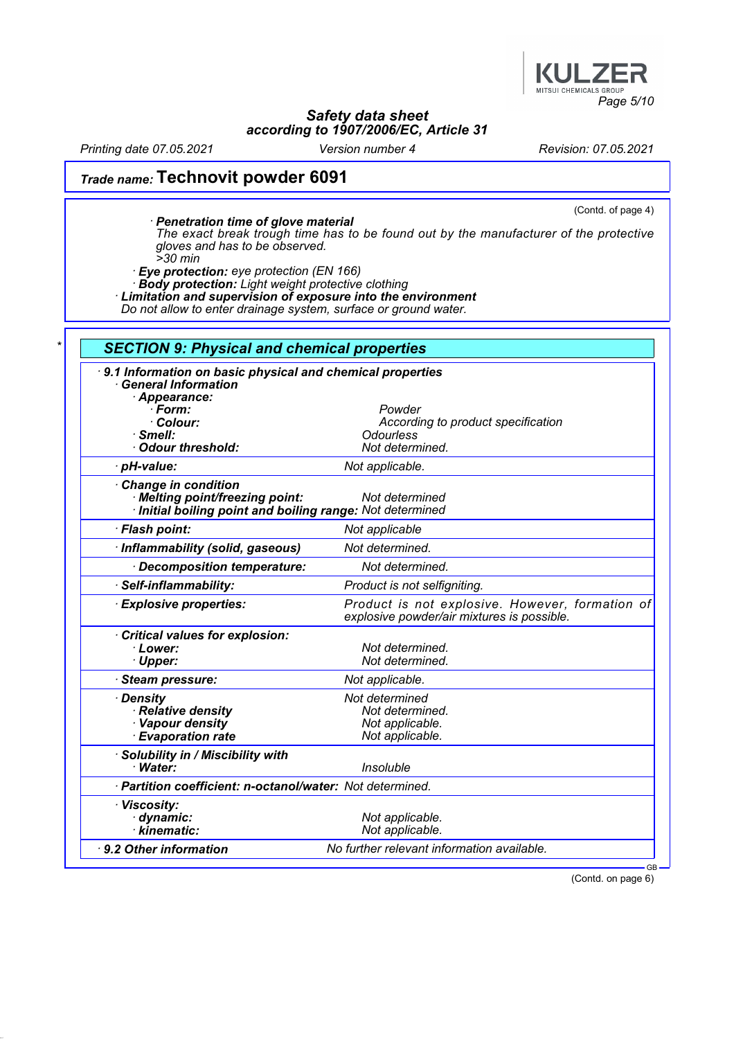

Printing date 07.05.2021 Version number 4 Revision: 07.05.2021

# Trade name: Technovit powder 6091

(Contd. of page 4)

· Penetration time of glove material The exact break trough time has to be found out by the manufacturer of the protective gloves and has to be observed.

>30 min

· Eye protection: eye protection (EN 166)

· Body protection: Light weight protective clothing

· Limitation and supervision of exposure into the environment

Do not allow to enter drainage system, surface or ground water.

| 9.1 Information on basic physical and chemical properties<br><b>General Information</b>                           |                                                                                               |
|-------------------------------------------------------------------------------------------------------------------|-----------------------------------------------------------------------------------------------|
| Appearance:<br>$\cdot$ Form:                                                                                      | Powder                                                                                        |
| · Colour:                                                                                                         | According to product specification                                                            |
| $\cdot$ Smell:                                                                                                    | <b>Odourless</b>                                                                              |
| Odour threshold:                                                                                                  | Not determined.                                                                               |
| · pH-value:                                                                                                       | Not applicable.                                                                               |
| Change in condition<br>· Melting point/freezing point:<br>Initial boiling point and boiling range: Not determined | Not determined                                                                                |
| · Flash point:                                                                                                    | Not applicable                                                                                |
| · Inflammability (solid, gaseous)                                                                                 | Not determined.                                                                               |
| Decomposition temperature:                                                                                        | Not determined.                                                                               |
| · Self-inflammability:                                                                                            | Product is not selfigniting.                                                                  |
| <b>Explosive properties:</b>                                                                                      | Product is not explosive. However, formation of<br>explosive powder/air mixtures is possible. |
| Critical values for explosion:                                                                                    |                                                                                               |
| · Lower:                                                                                                          | Not determined.                                                                               |
| · Upper:                                                                                                          | Not determined.                                                                               |
| <b>Steam pressure:</b>                                                                                            | Not applicable.                                                                               |
| · Density                                                                                                         | Not determined                                                                                |
| · Relative density                                                                                                | Not determined.                                                                               |
| · Vapour density                                                                                                  | Not applicable.                                                                               |
| <b>Evaporation rate</b>                                                                                           | Not applicable.                                                                               |
| · Solubility in / Miscibility with                                                                                |                                                                                               |
| · Water:                                                                                                          | <b>Insoluble</b>                                                                              |
| · Partition coefficient: n-octanol/water: Not determined.                                                         |                                                                                               |
| · Viscosity:                                                                                                      |                                                                                               |
| · dynamic:                                                                                                        | Not applicable.                                                                               |
| $\cdot$ kinematic:                                                                                                | Not applicable.                                                                               |
| 9.2 Other information                                                                                             | No further relevant information available.                                                    |

(Contd. on page 6)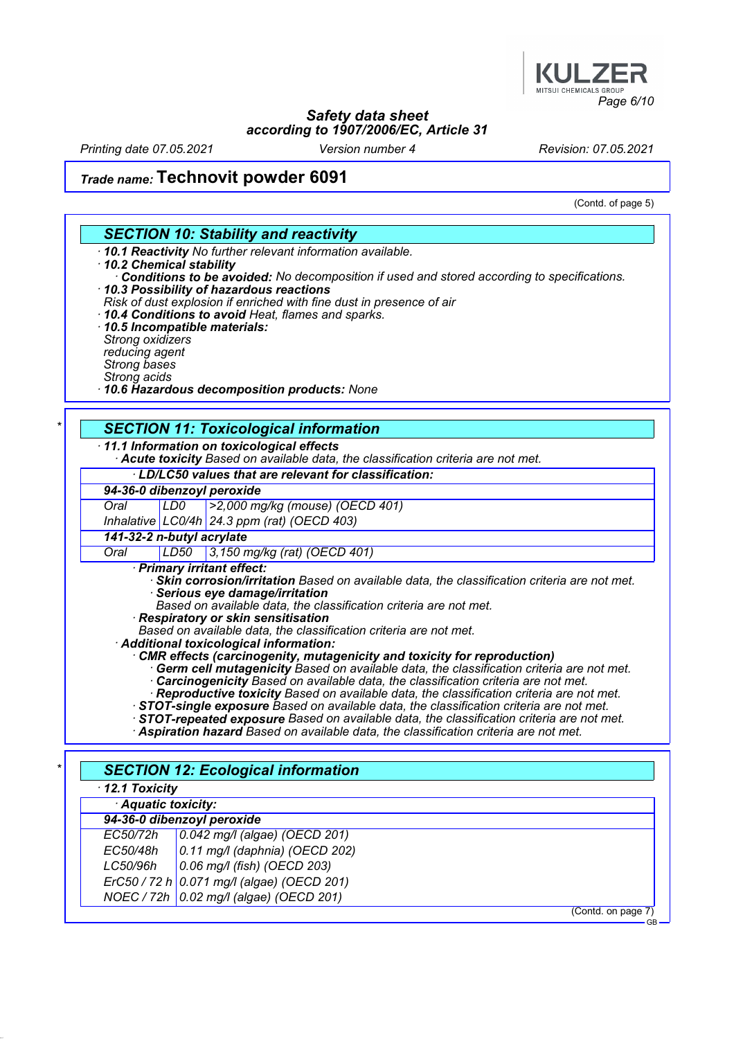

Printing date 07.05.2021 Version number 4 Revision: 07.05.2021

## Trade name: Technovit powder 6091

(Contd. of page 5)

#### SECTION 10: Stability and reactivity

· 10.1 Reactivity No further relevant information available.

#### · 10.2 Chemical stability

- Conditions to be avoided: No decomposition if used and stored according to specifications. · 10.3 Possibility of hazardous reactions
- Risk of dust explosion if enriched with fine dust in presence of air
- · 10.4 Conditions to avoid Heat, flames and sparks.
- · 10.5 Incompatible materials: Strong oxidizers reducing agent Strong bases Strong acids
- · 10.6 Hazardous decomposition products: None

#### **SECTION 11: Toxicological information**

· 11.1 Information on toxicological effects

· Acute toxicity Based on available data, the classification criteria are not met.

#### · LD/LC50 values that are relevant for classification:

|  |  | 94-36-0 dibenzoyl peroxide |  |  |
|--|--|----------------------------|--|--|
|  |  |                            |  |  |

Oral LD0 >2,000 mg/kg (mouse) (OECD 401)

Inhalative LC0/4h 24.3 ppm (rat) (OECD 403)

141-32-2 n-butyl acrylate

#### Oral LD50 3,150 mg/kg (rat) (OECD 401)

· Primary irritant effect:

- Skin corrosion/irritation Based on available data, the classification criteria are not met. Serious eye damage/irritation
- Based on available data, the classification criteria are not met.
- · Respiratory or skin sensitisation
	- Based on available data, the classification criteria are not met.

· Additional toxicological information:

- · CMR effects (carcinogenity, mutagenicity and toxicity for reproduction)
	- · Germ cell mutagenicity Based on available data, the classification criteria are not met. · Carcinogenicity Based on available data, the classification criteria are not met.
	- · Reproductive toxicity Based on available data, the classification criteria are not met.
- · STOT-single exposure Based on available data, the classification criteria are not met.
- · STOT-repeated exposure Based on available data, the classification criteria are not met.
- · Aspiration hazard Based on available data, the classification criteria are not met.

| $\cdot$ 12.1 Toxicity |                                            |  |
|-----------------------|--------------------------------------------|--|
| Aquatic toxicity:     |                                            |  |
|                       | 94-36-0 dibenzoyl peroxide                 |  |
| EC50/72h              | 0.042 mg/l (algae) (OECD 201)              |  |
| EC50/48h              | $0.11$ mg/l (daphnia) (OECD 202)           |  |
| LC50/96h              | $0.06$ mg/l (fish) (OECD 203)              |  |
|                       | ErC50 / 72 h 0.071 mg/l (algae) (OECD 201) |  |
|                       | NOEC / 72h   0.02 mg/l (algae) (OECD 201)  |  |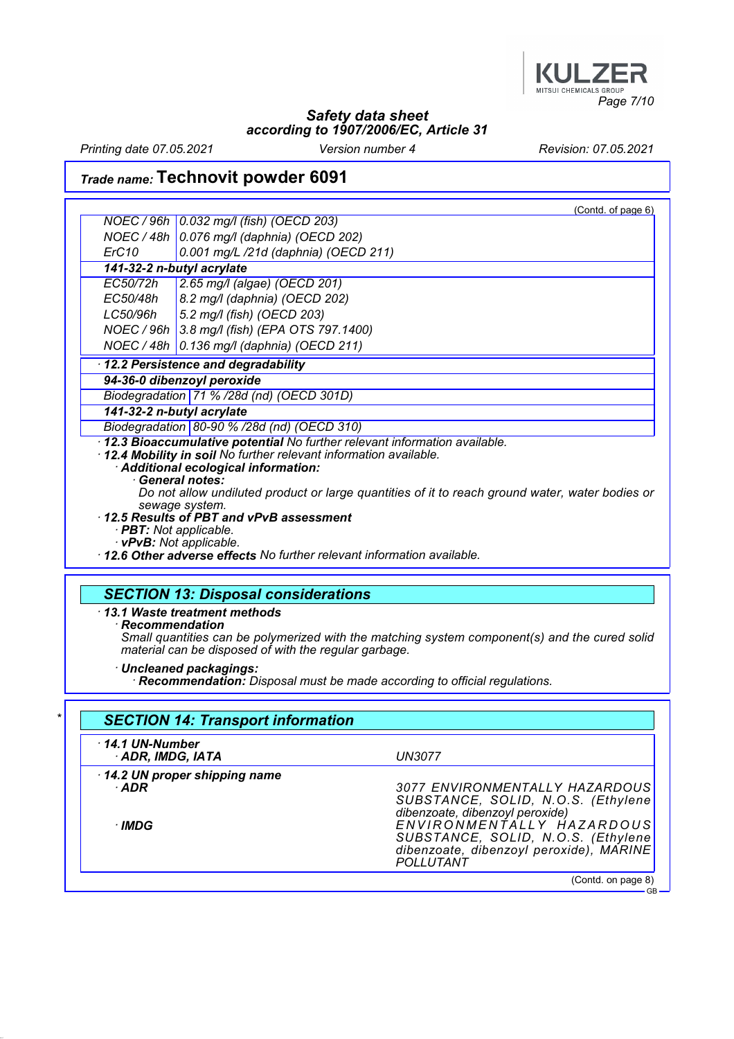

Printing date 07.05.2021 Version number 4 Revision: 07.05.2021

# Trade name: Technovit powder 6091

|                                                                                            | (Contd. of page 6)                                                                                                                                                                                                                                                                                         |  |  |  |  |  |                                                                                                    |
|--------------------------------------------------------------------------------------------|------------------------------------------------------------------------------------------------------------------------------------------------------------------------------------------------------------------------------------------------------------------------------------------------------------|--|--|--|--|--|----------------------------------------------------------------------------------------------------|
|                                                                                            | NOEC / 96h   0.032 mg/l (fish) (OECD 203)                                                                                                                                                                                                                                                                  |  |  |  |  |  |                                                                                                    |
|                                                                                            | NOEC / 48h 0.076 mg/l (daphnia) (OECD 202)                                                                                                                                                                                                                                                                 |  |  |  |  |  |                                                                                                    |
| ErC10                                                                                      | 0.001 mg/L /21d (daphnia) (OECD 211)                                                                                                                                                                                                                                                                       |  |  |  |  |  |                                                                                                    |
|                                                                                            | 141-32-2 n-butyl acrylate                                                                                                                                                                                                                                                                                  |  |  |  |  |  |                                                                                                    |
| EC50/72h<br>2.65 mg/l (algae) (OECD 201)                                                   |                                                                                                                                                                                                                                                                                                            |  |  |  |  |  |                                                                                                    |
| EC50/48h                                                                                   | 8.2 mg/l (daphnia) (OECD 202)                                                                                                                                                                                                                                                                              |  |  |  |  |  |                                                                                                    |
| LC50/96h                                                                                   | 5.2 mg/l (fish) (OECD 203)                                                                                                                                                                                                                                                                                 |  |  |  |  |  |                                                                                                    |
|                                                                                            | NOEC / 96h 3.8 mg/l (fish) (EPA OTS 797.1400)                                                                                                                                                                                                                                                              |  |  |  |  |  |                                                                                                    |
| NOEC / 48h                                                                                 | 0.136 mg/l (daphnia) (OECD 211)                                                                                                                                                                                                                                                                            |  |  |  |  |  |                                                                                                    |
|                                                                                            | 12.2 Persistence and degradability                                                                                                                                                                                                                                                                         |  |  |  |  |  |                                                                                                    |
|                                                                                            | 94-36-0 dibenzoyl peroxide                                                                                                                                                                                                                                                                                 |  |  |  |  |  |                                                                                                    |
|                                                                                            | Biodegradation 71 % /28d (nd) (OECD 301D)                                                                                                                                                                                                                                                                  |  |  |  |  |  |                                                                                                    |
| 141-32-2 n-butyl acrylate                                                                  |                                                                                                                                                                                                                                                                                                            |  |  |  |  |  |                                                                                                    |
|                                                                                            | Biodegradation 80-90 % /28d (nd) (OECD 310)                                                                                                                                                                                                                                                                |  |  |  |  |  |                                                                                                    |
|                                                                                            | 12.3 Bioaccumulative potential No further relevant information available.<br>12.4 Mobility in soil No further relevant information available.<br>Additional ecological information:<br>· General notes:<br>Do not allow undiluted product or large quantities of it to reach ground water, water bodies or |  |  |  |  |  |                                                                                                    |
| sewage system.<br>12.5 Results of PBT and vPvB assessment<br>· <b>PBT:</b> Not applicable. |                                                                                                                                                                                                                                                                                                            |  |  |  |  |  |                                                                                                    |
|                                                                                            |                                                                                                                                                                                                                                                                                                            |  |  |  |  |  | · vPvB: Not applicable.<br>· 12.6 Other adverse effects No further relevant information available. |
|                                                                                            |                                                                                                                                                                                                                                                                                                            |  |  |  |  |  |                                                                                                    |

# SECTION 13: Disposal considerations

· 13.1 Waste treatment methods

Recommendation

Small quantities can be polymerized with the matching system component(s) and the cured solid material can be disposed of with the regular garbage.

· Uncleaned packagings:

· Recommendation: Disposal must be made according to official regulations.

| $\cdot$ 14.1 UN-Number                |                                                                                                                         |  |
|---------------------------------------|-------------------------------------------------------------------------------------------------------------------------|--|
| ADR, IMDG, IATA                       | <b>UN3077</b>                                                                                                           |  |
| 14.2 UN proper shipping name<br>· ADR | 3077 ENVIRONMENTALLY HAZARDOUS<br>SUBSTANCE, SOLID, N.O.S. (Ethylene<br>dibenzoate, dibenzoyl peroxide)                 |  |
| ∙IMDG                                 | ENVIRONMENTALLY HAZARDOUS<br>SUBSTANCE, SOLID, N.O.S. (Ethylene<br>dibenzoate, dibenzoyl peroxide), MARINE<br>POLLUTANT |  |

**GB**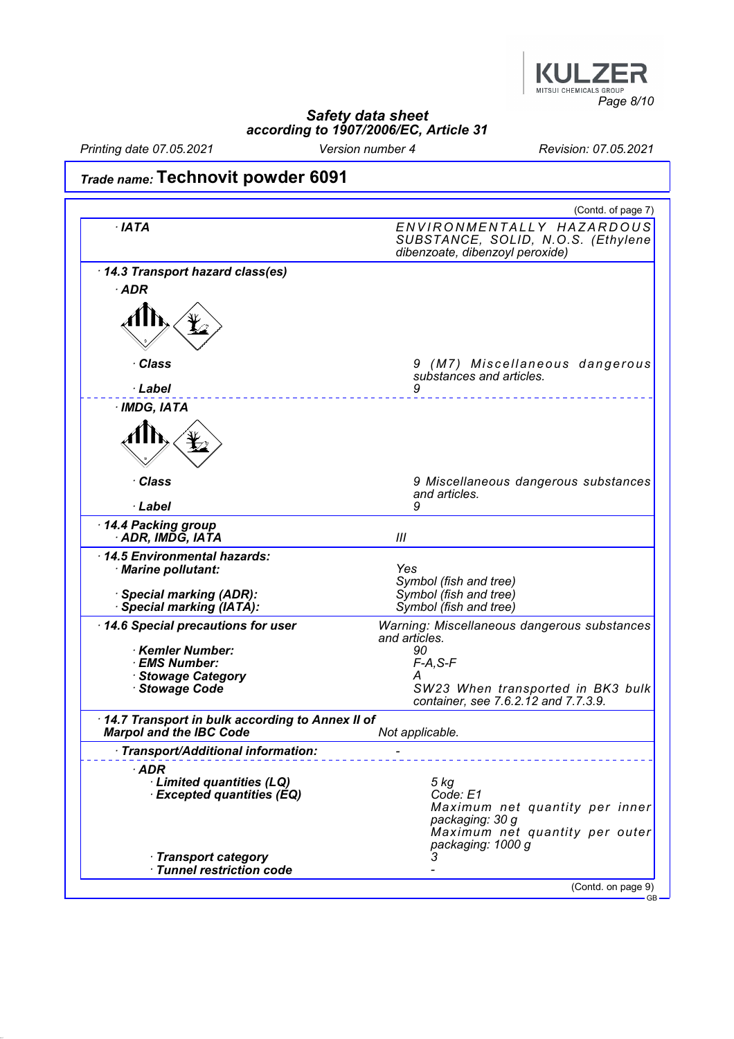

Printing date 07.05.2021 Version number 4 Revision: 07.05.2021

# Trade name: Technovit powder 6091

|                                                                                   | (Contd. of page 7)                                                                                 |
|-----------------------------------------------------------------------------------|----------------------------------------------------------------------------------------------------|
| $\cdot$ IATA                                                                      | ENVIRONMENTALLY HAZARDOUS<br>SUBSTANCE, SOLID, N.O.S. (Ethylene<br>dibenzoate, dibenzoyl peroxide) |
| 14.3 Transport hazard class(es)                                                   |                                                                                                    |
| $·$ ADR                                                                           |                                                                                                    |
|                                                                                   |                                                                                                    |
| · Class                                                                           | 9 (M7) Miscellaneous dangerous<br>substances and articles.                                         |
| · Label                                                                           | 9                                                                                                  |
| · IMDG, IATA                                                                      |                                                                                                    |
|                                                                                   |                                                                                                    |
| · Class                                                                           | 9 Miscellaneous dangerous substances<br>and articles.                                              |
| · Label                                                                           | 9                                                                                                  |
| 14.4 Packing group<br>· ADR, IMDĞ, IATA                                           | Ш                                                                                                  |
| 14.5 Environmental hazards:<br>· Marine pollutant:                                | Yes<br>Symbol (fish and tree)                                                                      |
| · Special marking (ADR):<br>Special marking (IATA):                               | Symbol (fish and tree)<br>Symbol (fish and tree)                                                   |
| 14.6 Special precautions for user                                                 | Warning: Miscellaneous dangerous substances<br>and articles.                                       |
| Kemler Number:                                                                    | 90                                                                                                 |
| · EMS Number:<br>· Stowage Category                                               | $F-A, S-F$<br>А                                                                                    |
| Stowage Code                                                                      | SW23 When transported in BK3 bulk<br>container, see 7.6.2.12 and 7.7.3.9.                          |
| 14.7 Transport in bulk according to Annex II of<br><b>Marpol and the IBC Code</b> | Not applicable.                                                                                    |
| · Transport/Additional information:                                               |                                                                                                    |
| $\cdot$ ADR                                                                       |                                                                                                    |
| · Limited quantities (LQ)                                                         | 5 kg                                                                                               |
| <b>Excepted quantities (EQ)</b>                                                   | Code: E1<br>Maximum net quantity per inner                                                         |
|                                                                                   |                                                                                                    |
|                                                                                   | packaging: 30 g<br>packaging: 1000 g                                                               |
| · Transport category<br>Tunnel restriction code                                   | Maximum net quantity per outer                                                                     |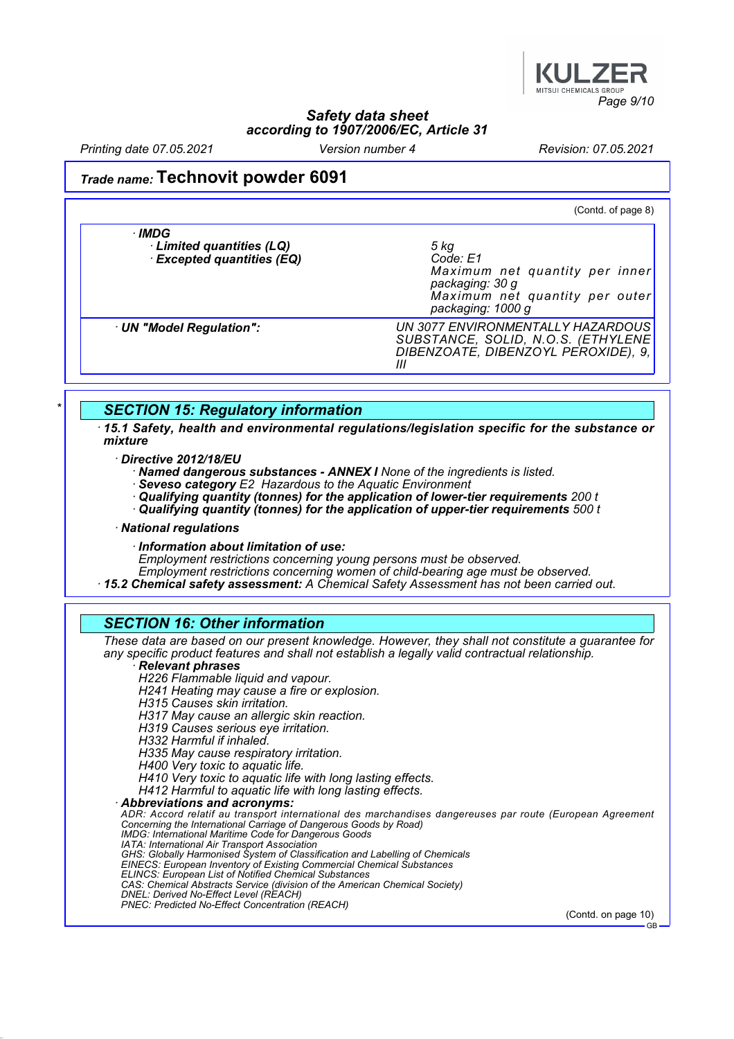

Printing date 07.05.2021 Version number 4 Revision: 07.05.2021

### Trade name: Technovit powder 6091

(Contd. of page 8) · IMDG · Limited quantities (LQ) 5 kg  $\cdot$  Excepted quantities (EQ) Maximum net quantity per inner packaging: 30 g Maximum net quantity per outer packaging: 1000 g · UN "Model Regulation": UN 3077 ENVIRONMENTALLY HAZARDOUS SUBSTANCE, SOLID, N.O.S. (ETHYLENE DIBENZOATE, DIBENZOYL PEROXIDE), 9, III

#### **SECTION 15: Regulatory information**

· 15.1 Safety, health and environmental regulations/legislation specific for the substance or mixture

· Directive 2012/18/EU

Named dangerous substances - ANNEX I None of the ingredients is listed.

· Seveso category E2 Hazardous to the Aquatic Environment

 $\cdot$  Qualifying quantity (tonnes) for the application of lower-tier requirements 200  $t$ 

· Qualifying quantity (tonnes) for the application of upper-tier requirements 500 t

#### · National regulations

· Information about limitation of use:

Employment restrictions concerning young persons must be observed.

Employment restrictions concerning women of child-bearing age must be observed.

· 15.2 Chemical safety assessment: A Chemical Safety Assessment has not been carried out.

#### SECTION 16: Other information

These data are based on our present knowledge. However, they shall not constitute a guarantee for any specific product features and shall not establish a legally valid contractual relationship.

#### **Relevant phrases**

H226 Flammable liquid and vapour.

H241 Heating may cause a fire or explosion.

H315 Causes skin irritation.

H317 May cause an allergic skin reaction.

H319 Causes serious eye irritation.

H332 Harmful if inhaled.

H335 May cause respiratory irritation.

H400 Very toxic to aquatic life.

H410 Very toxic to aquatic life with long lasting effects.

H412 Harmful to aquatic life with long lasting effects.

· Abbreviations and acronyms:

ADR: Accord relatif au transport international des marchandises dangereuses par route (European Agreement Concerning the International Carriage of Dangerous Goods by Road) IMDG: International Maritime Code for Dangerous Goods IATA: International Air Transport Association GHS: Globally Harmonised System of Classification and Labelling of Chemicals EINECS: European Inventory of Existing Commercial Chemical Substances ELINCS: European List of Notified Chemical Substances CAS: Chemical Abstracts Service (division of the American Chemical Society) DNEL: Derived No-Effect Level (REACH)

PNEC: Predicted No-Effect Concentration (REACH)

(Contd. on page 10) GB